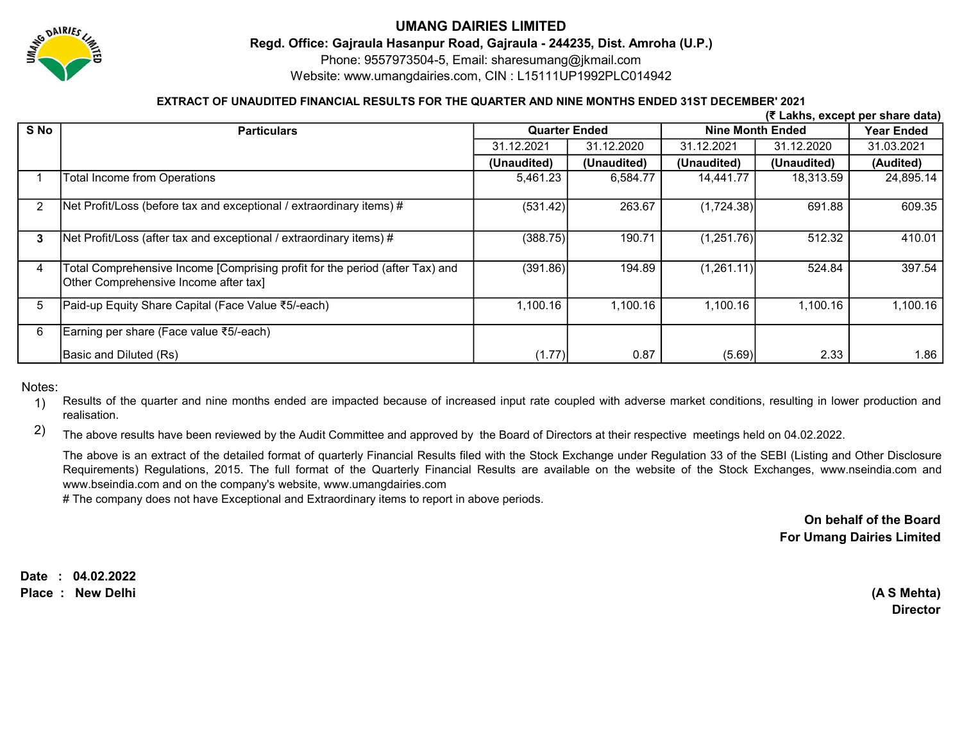

# UMANG DAIRIES LIMITED

Regd. Office: Gajraula Hasanpur Road, Gajraula - 244235, Dist. Amroha (U.P.)

Phone: 9557973504-5, Email: sharesumang@jkmail.com

Website: www.umangdairies.com, CIN : L15111UP1992PLC014942

### EXTRACT OF UNAUDITED FINANCIAL RESULTS FOR THE QUARTER AND NINE MONTHS ENDED 31ST DECEMBER' 2021

|                | (₹ Lakhs, except per share data)                                                                                      |                      |             |                         |             |            |  |  |  |  |  |
|----------------|-----------------------------------------------------------------------------------------------------------------------|----------------------|-------------|-------------------------|-------------|------------|--|--|--|--|--|
| S No           | <b>Particulars</b>                                                                                                    | <b>Quarter Ended</b> |             | <b>Nine Month Ended</b> | Year Ended  |            |  |  |  |  |  |
|                |                                                                                                                       | 31.12.2021           | 31.12.2020  | 31.12.2021              | 31.12.2020  | 31.03.2021 |  |  |  |  |  |
|                |                                                                                                                       | (Unaudited)          | (Unaudited) | (Unaudited)             | (Unaudited) | (Audited)  |  |  |  |  |  |
|                | Total Income from Operations                                                                                          | 5,461.23             | 6,584.77    | 14,441.77               | 18,313.59   | 24,895.14  |  |  |  |  |  |
| $\overline{2}$ | Net Profit/Loss (before tax and exceptional / extraordinary items) #                                                  | (531.42)             | 263.67      | (1,724.38)              | 691.88      | 609.35     |  |  |  |  |  |
| 3              | Net Profit/Loss (after tax and exceptional / extraordinary items) #                                                   | (388.75)             | 190.71      | (1,251.76)              | 512.32      | 410.01     |  |  |  |  |  |
| 4              | Total Comprehensive Income [Comprising profit for the period (after Tax) and<br>Other Comprehensive Income after tax] | (391.86)             | 194.89      | (1,261.11)              | 524.84      | 397.54     |  |  |  |  |  |
| 5              | Paid-up Equity Share Capital (Face Value ₹5/-each)                                                                    | 1,100.16             | 1,100.16    | 1,100.16                | 1,100.16    | 1,100.16   |  |  |  |  |  |
| 6              | Earning per share (Face value ₹5/-each)                                                                               |                      |             |                         |             |            |  |  |  |  |  |
|                | Basic and Diluted (Rs)                                                                                                | (1.77)               | 0.87        | (5.69)                  | 2.33        | 1.86       |  |  |  |  |  |

Notes:

1) Results of the quarter and nine months ended are impacted because of increased input rate coupled with adverse market conditions, resulting in lower production and realisation.

2) The above results have been reviewed by the Audit Committee and approved by the Board of Directors at their respective meetings held on 04.02.2022.

The above is an extract of the detailed format of quarterly Financial Results filed with the Stock Exchange under Regulation 33 of the SEBI (Listing and Other Disclosure Requirements) Regulations, 2015. The full format of the Quarterly Financial Results are available on the website of the Stock Exchanges, www.nseindia.com and www.bseindia.com and on the company's website, www.umangdairies.com

# The company does not have Exceptional and Extraordinary items to report in above periods.

On behalf of the Board For Umang Dairies Limited

Date : 04.02.2022 Place : New Delhi (A S Mehta)

Director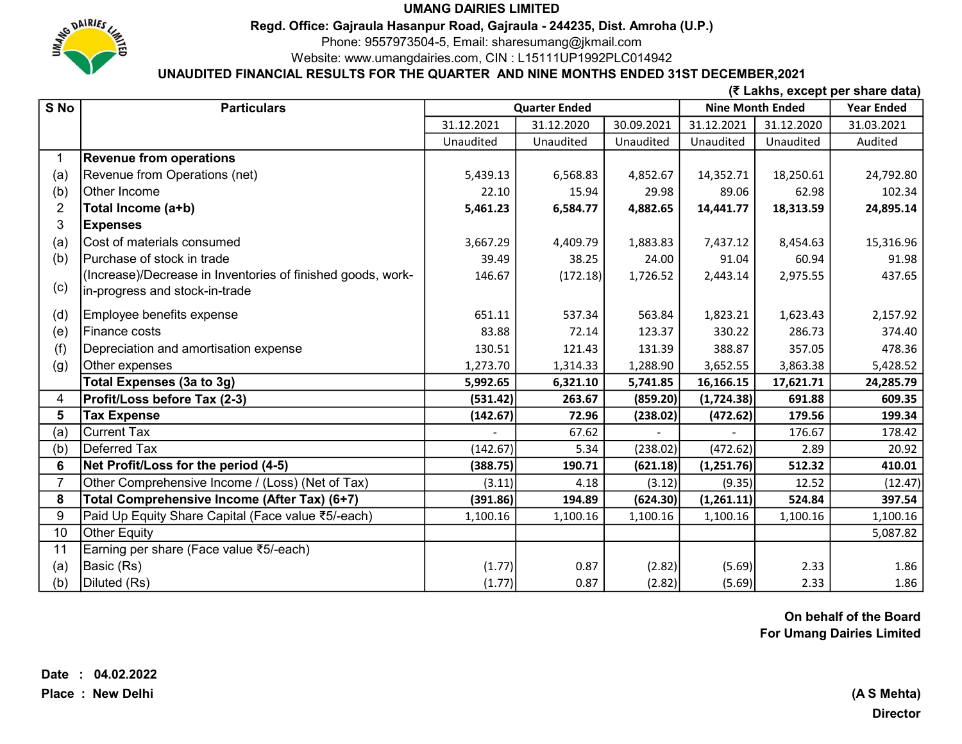

### UMANG DAIRIES LIMITED

Regd. Office: Gajraula Hasanpur Road, Gajraula - 244235, Dist. Amroha (U.P.)

Phone: 9557973504-5, Email: sharesumang@jkmail.com

Website: www.umangdairies.com, CIN : L15111UP1992PLC014942

# UNAUDITED FINANCIAL RESULTS FOR THE QUARTER AND NINE MONTHS ENDED 31ST DECEMBER,2021

(₹ Lakhs, except per share data)

| S No           | <b>Particulars</b>                                          | <b>Quarter Ended</b> |            |            | <b>Nine Month Ended</b> |            | <b>Year Ended</b> |
|----------------|-------------------------------------------------------------|----------------------|------------|------------|-------------------------|------------|-------------------|
|                |                                                             | 31.12.2021           | 31.12.2020 | 30.09.2021 | 31.12.2021              | 31.12.2020 | 31.03.2021        |
|                |                                                             | Unaudited            | Unaudited  | Unaudited  | Unaudited               | Unaudited  | Audited           |
|                | <b>Revenue from operations</b>                              |                      |            |            |                         |            |                   |
| (a)            | Revenue from Operations (net)                               | 5,439.13             | 6,568.83   | 4,852.67   | 14,352.71               | 18,250.61  | 24,792.80         |
| (b)            | Other Income                                                | 22.10                | 15.94      | 29.98      | 89.06                   | 62.98      | 102.34            |
| 2              | Total Income (a+b)                                          | 5,461.23             | 6,584.77   | 4,882.65   | 14,441.77               | 18,313.59  | 24,895.14         |
| 3              | <b>Expenses</b>                                             |                      |            |            |                         |            |                   |
| (a)            | Cost of materials consumed                                  | 3,667.29             | 4,409.79   | 1,883.83   | 7,437.12                | 8,454.63   | 15,316.96         |
| (b)            | Purchase of stock in trade                                  | 39.49                | 38.25      | 24.00      | 91.04                   | 60.94      | 91.98             |
|                | (Increase)/Decrease in Inventories of finished goods, work- | 146.67               | (172.18)   | 1,726.52   | 2,443.14                | 2,975.55   | 437.65            |
| (c)            | in-progress and stock-in-trade                              |                      |            |            |                         |            |                   |
| (d)            | Employee benefits expense                                   | 651.11               | 537.34     | 563.84     | 1,823.21                | 1,623.43   | 2,157.92          |
| (e)            | Finance costs                                               | 83.88                | 72.14      | 123.37     | 330.22                  | 286.73     | 374.40            |
| (f)            | Depreciation and amortisation expense                       | 130.51               | 121.43     | 131.39     | 388.87                  | 357.05     | 478.36            |
| (g)            | Other expenses                                              | 1,273.70             | 1,314.33   | 1,288.90   | 3,652.55                | 3,863.38   | 5,428.52          |
|                | Total Expenses (3a to 3g)                                   | 5,992.65             | 6,321.10   | 5,741.85   | 16,166.15               | 17,621.71  | 24,285.79         |
| 4              | Profit/Loss before Tax (2-3)                                | (531.42)             | 263.67     | (859.20)   | (1,724.38)              | 691.88     | 609.35            |
| 5              | <b>Tax Expense</b>                                          | (142.67)             | 72.96      | (238.02)   | (472.62)                | 179.56     | 199.34            |
| (a)            | <b>Current Tax</b>                                          |                      | 67.62      |            |                         | 176.67     | 178.42            |
| (b)            | Deferred Tax                                                | (142.67)             | 5.34       | (238.02)   | (472.62)                | 2.89       | 20.92             |
| 6              | Net Profit/Loss for the period (4-5)                        | (388.75)             | 190.71     | (621.18)   | (1,251.76)              | 512.32     | 410.01            |
| $\overline{7}$ | Other Comprehensive Income / (Loss) (Net of Tax)            | (3.11)               | 4.18       | (3.12)     | (9.35)                  | 12.52      | (12.47)           |
| 8              | Total Comprehensive Income (After Tax) (6+7)                | (391.86)             | 194.89     | (624.30)   | (1,261.11)              | 524.84     | 397.54            |
| 9              | Paid Up Equity Share Capital (Face value ₹5/-each)          | 1,100.16             | 1,100.16   | 1,100.16   | 1,100.16                | 1,100.16   | 1,100.16          |
| 10             | <b>Other Equity</b>                                         |                      |            |            |                         |            | 5,087.82          |
| 11             | Earning per share (Face value ₹5/-each)                     |                      |            |            |                         |            |                   |
| (a)            | Basic (Rs)                                                  | (1.77)               | 0.87       | (2.82)     | (5.69)                  | 2.33       | 1.86              |
| (b)            | Diluted (Rs)                                                | (1.77)               | 0.87       | (2.82)     | (5.69)                  | 2.33       | 1.86              |

On behalf of the Board For Umang Dairies Limited

**Director**